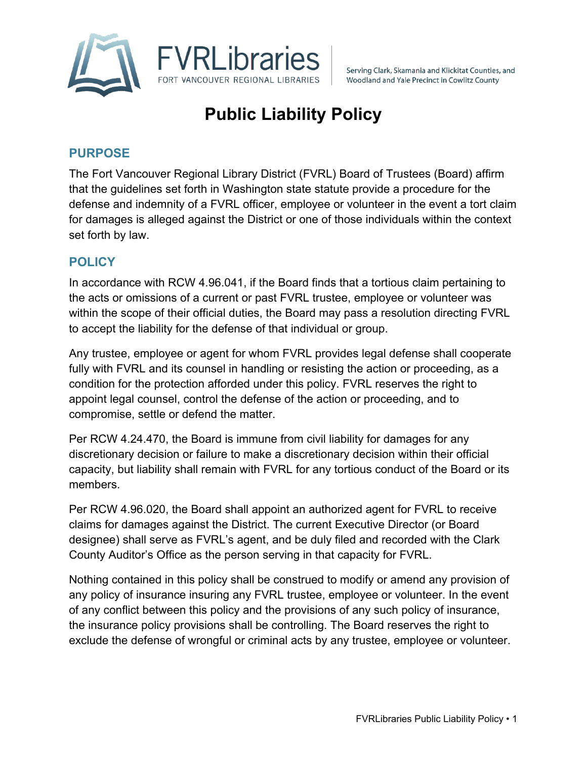

Serving Clark, Skamania and Klickitat Counties, and Woodland and Yale Precinct in Cowlitz County

# **Public Liability Policy**

## **PURPOSE**

The Fort Vancouver Regional Library District (FVRL) Board of Trustees (Board) affirm that the guidelines set forth in Washington state statute provide a procedure for the defense and indemnity of a FVRL officer, employee or volunteer in the event a tort claim for damages is alleged against the District or one of those individuals within the context set forth by law.

### **POLICY**

In accordance with RCW 4.96.041, if the Board finds that a tortious claim pertaining to the acts or omissions of a current or past FVRL trustee, employee or volunteer was within the scope of their official duties, the Board may pass a resolution directing FVRL to accept the liability for the defense of that individual or group.

Any trustee, employee or agent for whom FVRL provides legal defense shall cooperate fully with FVRL and its counsel in handling or resisting the action or proceeding, as a condition for the protection afforded under this policy. FVRL reserves the right to appoint legal counsel, control the defense of the action or proceeding, and to compromise, settle or defend the matter.

Per RCW 4.24.470, the Board is immune from civil liability for damages for any discretionary decision or failure to make a discretionary decision within their official capacity, but liability shall remain with FVRL for any tortious conduct of the Board or its members.

Per RCW 4.96.020, the Board shall appoint an authorized agent for FVRL to receive claims for damages against the District. The current Executive Director (or Board designee) shall serve as FVRL's agent, and be duly filed and recorded with the Clark County Auditor's Office as the person serving in that capacity for FVRL.

Nothing contained in this policy shall be construed to modify or amend any provision of any policy of insurance insuring any FVRL trustee, employee or volunteer. In the event of any conflict between this policy and the provisions of any such policy of insurance, the insurance policy provisions shall be controlling. The Board reserves the right to exclude the defense of wrongful or criminal acts by any trustee, employee or volunteer.